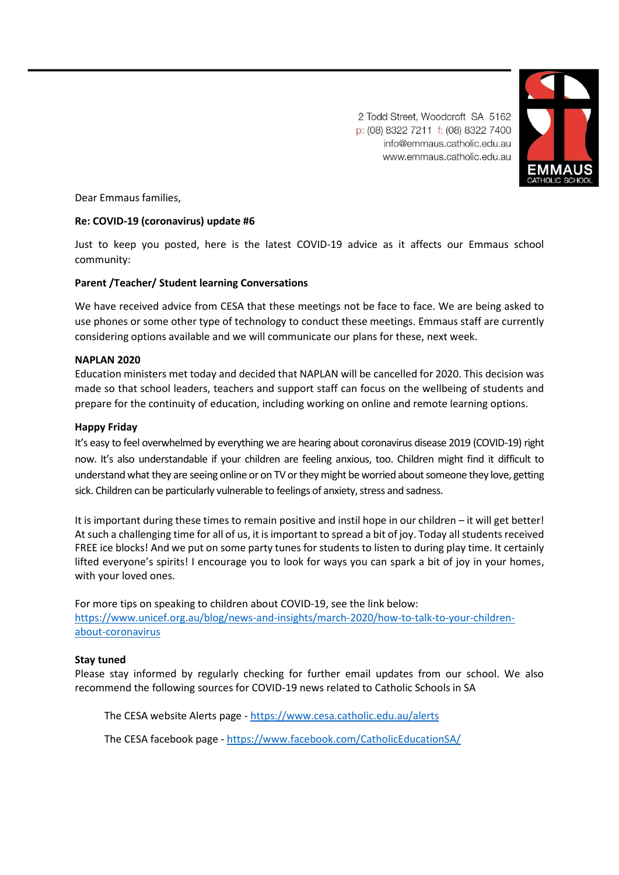2 Todd Street, Woodcroft SA 5162 p: (08) 8322 7211 f: (08) 8322 7400 info@emmaus.catholic.edu.au www.emmaus.catholic.edu.au



Dear Emmaus families,

# **Re: COVID-19 (coronavirus) update #6**

Just to keep you posted, here is the latest COVID-19 advice as it affects our Emmaus school community:

### **Parent /Teacher/ Student learning Conversations**

We have received advice from CESA that these meetings not be face to face. We are being asked to use phones or some other type of technology to conduct these meetings. Emmaus staff are currently considering options available and we will communicate our plans for these, next week.

## **NAPLAN 2020**

Education ministers met today and decided that NAPLAN will be cancelled for 2020. This decision was made so that school leaders, teachers and support staff can focus on the wellbeing of students and prepare for the continuity of education, including working on online and remote learning options.

### **Happy Friday**

It's easy to feel overwhelmed by everything we are hearing about coronavirus disease 2019 (COVID-19) right now. It's also understandable if your children are feeling anxious, too. Children might find it difficult to understand what they are seeing online or on TV or they might be worried about someone they love, getting sick. Children can be particularly vulnerable to feelings of anxiety, stress and sadness.

It is important during these times to remain positive and instil hope in our children – it will get better! At such a challenging time for all of us, it is important to spread a bit of joy. Today all students received FREE ice blocks! And we put on some party tunes for students to listen to during play time. It certainly lifted everyone's spirits! I encourage you to look for ways you can spark a bit of joy in your homes, with your loved ones.

For more tips on speaking to children about COVID-19, see the link below: [https://www.unicef.org.au/blog/news-and-insights/march-2020/how-to-talk-to-your-children](https://www.unicef.org.au/blog/news-and-insights/march-2020/how-to-talk-to-your-children-about-coronavirus)[about-coronavirus](https://www.unicef.org.au/blog/news-and-insights/march-2020/how-to-talk-to-your-children-about-coronavirus)

### **Stay tuned**

Please stay informed by regularly checking for further email updates from our school. We also recommend the following sources for COVID-19 news related to Catholic Schools in SA

The CESA website Alerts page - <https://www.cesa.catholic.edu.au/alerts>

The CESA facebook page - [https://www.facebook.com/CatholicEducationSA/](https://aus01.safelinks.protection.outlook.com/?url=https%3A%2F%2Fwww.facebook.com%2FCatholicEducationSA%2F&data=02%7C01%7CSteve.Genesin%40cesa.catholic.edu.au%7Cec0c09da16874b7e2b3a08d7c959c457%7C324d0eab8f464c94aeff237148fb968e%7C0%7C0%7C637199259688488711&sdata=bWZVbSi4Zn6jMxAT2Pa6%2BcbNPiKoNBL4dxzHWkYriXE%3D&reserved=0)